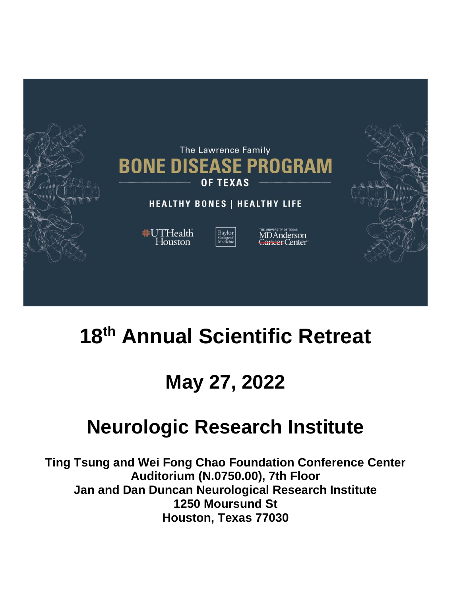

# **18th Annual Scientific Retreat**

# **May 27, 2022**

# **Neurologic Research Institute**

**Ting Tsung and Wei Fong Chao Foundation Conference Center Auditorium (N.0750.00), 7th Floor Jan and Dan Duncan Neurological Research Institute 1250 Moursund St Houston, Texas 77030**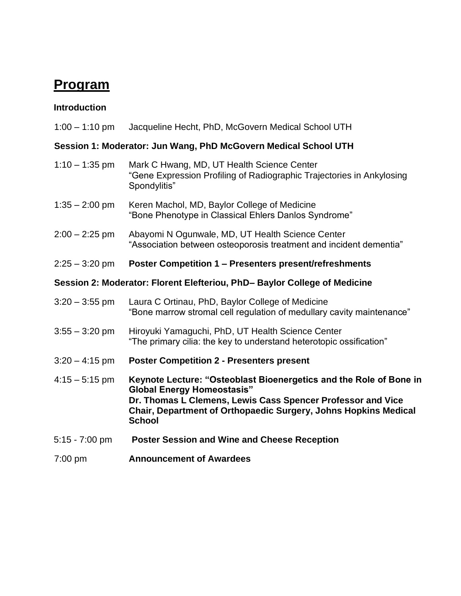## **Program**

| $1:00 - 1:10$ pm | Jacqueline Hecht, PhD, McGovern Medical School UTH |  |  |  |
|------------------|----------------------------------------------------|--|--|--|
|                  |                                                    |  |  |  |

#### **Session 1: Moderator: Jun Wang, PhD McGovern Medical School UTH**

- 1:10 1:35 pm Mark C Hwang, MD, UT Health Science Center "Gene Expression Profiling of Radiographic Trajectories in Ankylosing Spondylitis"
- 1:35 2:00 pm Keren Machol, MD, Baylor College of Medicine "Bone Phenotype in Classical Ehlers Danlos Syndrome"
- 2:00 2:25 pm Abayomi N Ogunwale, MD, UT Health Science Center "Association between osteoporosis treatment and incident dementia"
- 2:25 3:20 pm **Poster Competition 1 – Presenters present/refreshments**

#### **Session 2: Moderator: Florent Elefteriou, PhD– Baylor College of Medicine**

- 3:20 3:55 pm Laura C Ortinau, PhD, Baylor College of Medicine "Bone marrow stromal cell regulation of medullary cavity maintenance"
- 3:55 3:20 pm Hiroyuki Yamaguchi, PhD, UT Health Science Center "The primary cilia: the key to understand heterotopic ossification"
- 3:20 4:15 pm **Poster Competition 2 - Presenters present**
- 4:15 5:15 pm **Keynote Lecture: "Osteoblast Bioenergetics and the Role of Bone in Global Energy Homeostasis" Dr. Thomas L Clemens, Lewis Cass Spencer Professor and Vice Chair, Department of Orthopaedic Surgery, Johns Hopkins Medical School**
- 5:15 7:00 pm **Poster Session and Wine and Cheese Reception**
- 7:00 pm **Announcement of Awardees**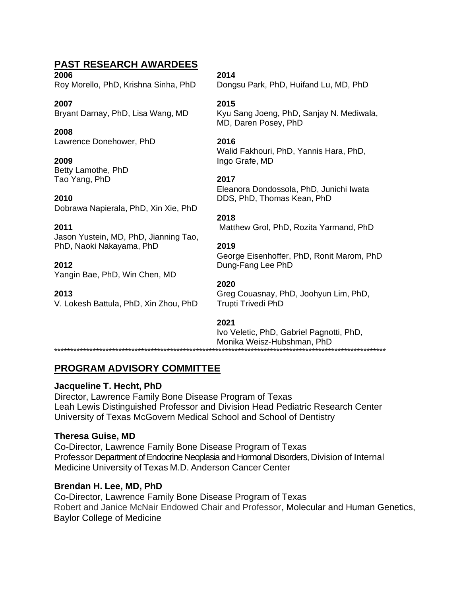### **PAST RESEARCH AWARDEES**

**2006 2014**

**2007 2015**

**2008** Lawrence Donehower, PhD **2016**

**2009** Ingo Grafe, MD Betty Lamothe, PhD Tao Yang, PhD **2017**

**2010** DDS, PhD, Thomas Kean, PhD Dobrawa Napierala, PhD, Xin Xie, PhD

Jason Yustein, MD, PhD, Jianning Tao, PhD, Naoki Nakayama, PhD **2019**

**2012** Dung-Fang Lee PhD Yangin Bae, PhD, Win Chen, MD

V. Lokesh Battula, PhD, Xin Zhou, PhD Trupti Trivedi PhD

\*\*\*\*\*\*\*\*\*\*\*\*\*\*\*\*\*\*\*\*\*\*\*\*\*\*\*\*\*\*\*\*\*\*\*\*\*\*\*\*\*\*\*\*\*\*\*\*\*\*\*\*\*\*\*\*\*\*\*\*\*\*\*\*\*\*\*\*\*\*\*\*\*\*\*\*\*\*\*\*\*\*\*\*\*\*\*\*\*\*\*\*\*\*\*\*\*\*\*\*\*\*\*

Roy Morello, PhD, Krishna Sinha, PhD Dongsu Park, PhD, Huifand Lu, MD, PhD

Bryant Darnay, PhD, Lisa Wang, MD Kyu Sang Joeng, PhD, Sanjay N. Mediwala, MD, Daren Posey, PhD

Walid Fakhouri, PhD, Yannis Hara, PhD,

Eleanora Dondossola, PhD, Junichi Iwata

#### **2018**

**2011** Matthew Grol, PhD, Rozita Yarmand, PhD

George Eisenhoffer, PhD, Ronit Marom, PhD

#### **2020**

**2013** Greg Couasnay, PhD, Joohyun Lim, PhD,

#### **2021**

Ivo Veletic, PhD, Gabriel Pagnotti, PhD, Monika Weisz-Hubshman, PhD

**PROGRAM ADVISORY COMMITTEE**

#### **Jacqueline T. Hecht, PhD**

Director, Lawrence Family Bone Disease Program of Texas Leah Lewis Distinguished Professor and Division Head Pediatric Research Center University of Texas McGovern Medical School and School of Dentistry

#### **Theresa Guise, MD**

Co-Director, Lawrence Family Bone Disease Program of Texas Professor Department of Endocrine Neoplasia and Hormonal Disorders, Division of Internal Medicine University of Texas M.D. Anderson Cancer Center

### **Brendan H. Lee, MD, PhD**

Co-Director, Lawrence Family Bone Disease Program of Texas Robert and Janice McNair Endowed Chair and Professor, Molecular and Human Genetics, Baylor College of Medicine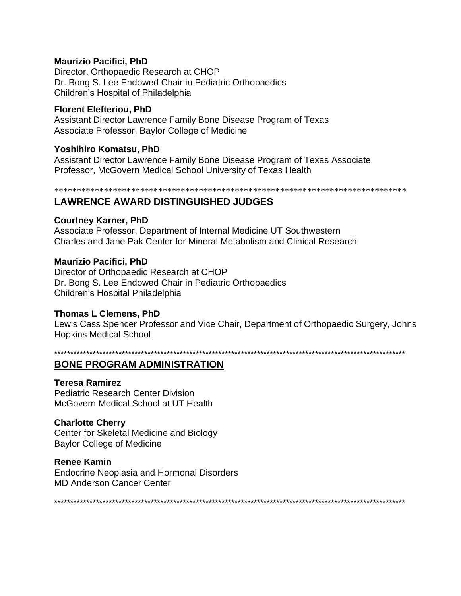#### **Maurizio Pacifici, PhD**

Director, Orthopaedic Research at CHOP Dr. Bong S. Lee Endowed Chair in Pediatric Orthopaedics Children's Hospital of Philadelphia

#### **Florent Elefteriou, PhD**

Assistant Director Lawrence Family Bone Disease Program of Texas Associate Professor, Baylor College of Medicine

#### **Yoshihiro Komatsu, PhD**

Assistant Director Lawrence Family Bone Disease Program of Texas Associate Professor, McGovern Medical School University of Texas Health

### **LAWRENCE AWARD DISTINGUISHED JUDGES**

#### **Courtney Karner, PhD**

Associate Professor, Department of Internal Medicine UT Southwestern Charles and Jane Pak Center for Mineral Metabolism and Clinical Research

#### **Maurizio Pacifici, PhD**

Director of Orthopaedic Research at CHOP Dr. Bong S. Lee Endowed Chair in Pediatric Orthopaedics Children's Hospital Philadelphia

#### **Thomas L Clemens, PhD**

Lewis Cass Spencer Professor and Vice Chair, Department of Orthopaedic Surgery, Johns **Hopkins Medical School** 

### **BONE PROGRAM ADMINISTRATION**

#### **Teresa Ramirez**

**Pediatric Research Center Division** McGovern Medical School at UT Health

#### **Charlotte Cherry**

Center for Skeletal Medicine and Biology **Baylor College of Medicine** 

#### **Renee Kamin**

**Endocrine Neoplasia and Hormonal Disorders MD Anderson Cancer Center**